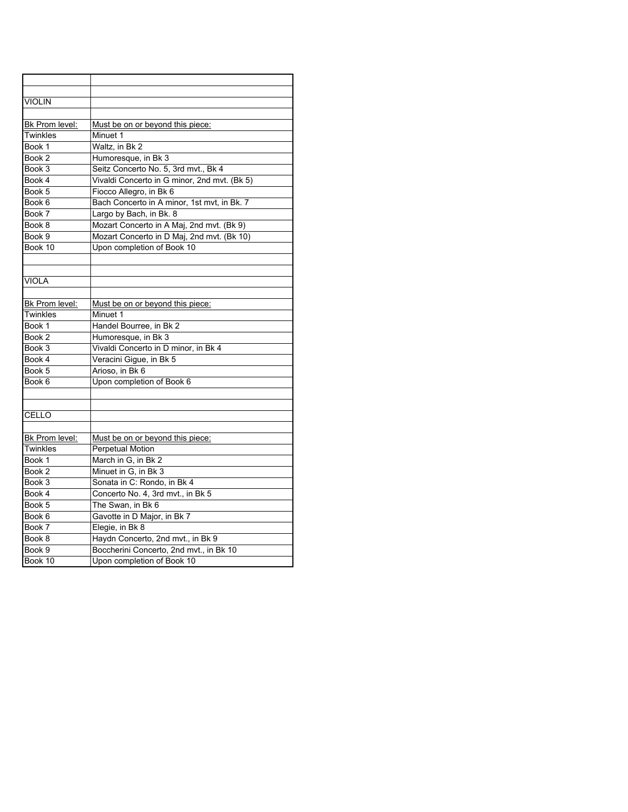| <b>VIOLIN</b>  |                                              |
|----------------|----------------------------------------------|
|                |                                              |
| Bk Prom level: | Must be on or beyond this piece:             |
| Twinkles       | Minuet 1                                     |
| Book 1         | Waltz, in Bk 2                               |
| Book 2         | Humoresque, in Bk 3                          |
| Book 3         | Seitz Concerto No. 5, 3rd mvt., Bk 4         |
| Book 4         | Vivaldi Concerto in G minor, 2nd mvt. (Bk 5) |
| Book 5         | Fiocco Allegro, in Bk 6                      |
| Book 6         | Bach Concerto in A minor, 1st mvt, in Bk. 7  |
| Book 7         | Largo by Bach, in Bk. 8                      |
| Book 8         | Mozart Concerto in A Maj, 2nd mvt. (Bk 9)    |
| Book 9         | Mozart Concerto in D Maj, 2nd mvt. (Bk 10)   |
| Book 10        | Upon completion of Book 10                   |
|                |                                              |
|                |                                              |
| <b>VIOLA</b>   |                                              |
|                |                                              |
| Bk Prom level: | Must be on or beyond this piece:             |
| Twinkles       | Minuet 1                                     |
| Book 1         | Handel Bourree, in Bk 2                      |
| Book 2         | Humoresque, in Bk 3                          |
| Book 3         | Vivaldi Concerto in D minor, in Bk 4         |
| Book 4         | Veracini Gigue, in Bk 5                      |
| Book 5         | Arioso, in Bk 6                              |
| Book 6         | Upon completion of Book 6                    |
|                |                                              |
|                |                                              |
| CELLO          |                                              |
|                |                                              |
| Bk Prom level: | Must be on or beyond this piece:             |
| Twinkles       | <b>Perpetual Motion</b>                      |
| Book 1         | March in G, in Bk 2                          |
| Book 2         | Minuet in G, in Bk 3                         |
| Book 3         | Sonata in C: Rondo, in Bk 4                  |
| Book 4         | Concerto No. 4, 3rd mvt., in Bk 5            |
| Book 5         | The Swan, in Bk 6                            |
| Book 6         | Gavotte in D Major, in Bk 7                  |
| Book 7         | Elegie, in Bk 8                              |
| Book 8         | Haydn Concerto, 2nd mvt., in Bk 9            |
| Book 9         | Boccherini Concerto, 2nd mvt., in Bk 10      |
| Book 10        | Upon completion of Book 10                   |